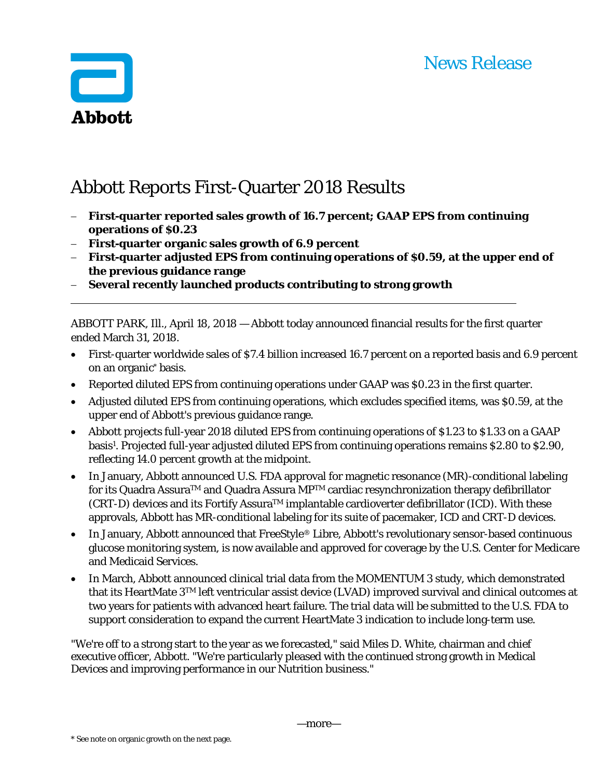# News Release



# Abbott Reports First-Quarter 2018 Results

- **First-quarter reported sales growth of 16.7 percent; GAAP EPS from continuing operations of \$0.23**
- **First-quarter organic sales growth of 6.9 percent**
- **First-quarter adjusted EPS from continuing operations of \$0.59, at the upper end of the previous guidance range**
- **Several recently launched products contributing to strong growth**

ABBOTT PARK, Ill., April 18, 2018 — Abbott today announced financial results for the first quarter ended March 31, 2018.

- First-quarter worldwide sales of \$7.4 billion increased 16.7 percent on a reported basis and 6.9 percent on an organic\* basis.
- Reported diluted EPS from continuing operations under GAAP was \$0.23 in the first quarter.
- Adjusted diluted EPS from continuing operations, which excludes specified items, was \$0.59, at the upper end of Abbott's previous guidance range.
- Abbott projects full-year 2018 diluted EPS from continuing operations of \$1.23 to \$1.33 on a GAAP basis1. Projected full-year adjusted diluted EPS from continuing operations remains \$2.80 to \$2.90, reflecting 14.0 percent growth at the midpoint.
- In January, Abbott announced U.S. FDA approval for magnetic resonance (MR)-conditional labeling for its Quadra Assura™ and Quadra Assura MP<sup>™</sup> cardiac resynchronization therapy defibrillator  $(CRT-D)$  devices and its Fortify Assura<sup>TM</sup> implantable cardioverter defibrillator (ICD). With these approvals, Abbott has MR-conditional labeling for its suite of pacemaker, ICD and CRT-D devices.
- In January, Abbott announced that FreeStyle® Libre, Abbott's revolutionary sensor-based continuous glucose monitoring system, is now available and approved for coverage by the U.S. Center for Medicare and Medicaid Services.
- In March, Abbott announced clinical trial data from the MOMENTUM 3 study, which demonstrated that its HeartMate 3TM left ventricular assist device (LVAD) improved survival and clinical outcomes at two years for patients with advanced heart failure. The trial data will be submitted to the U.S. FDA to support consideration to expand the current HeartMate 3 indication to include long-term use.

"We're off to a strong start to the year as we forecasted," said Miles D. White, chairman and chief executive officer, Abbott. "We're particularly pleased with the continued strong growth in Medical Devices and improving performance in our Nutrition business."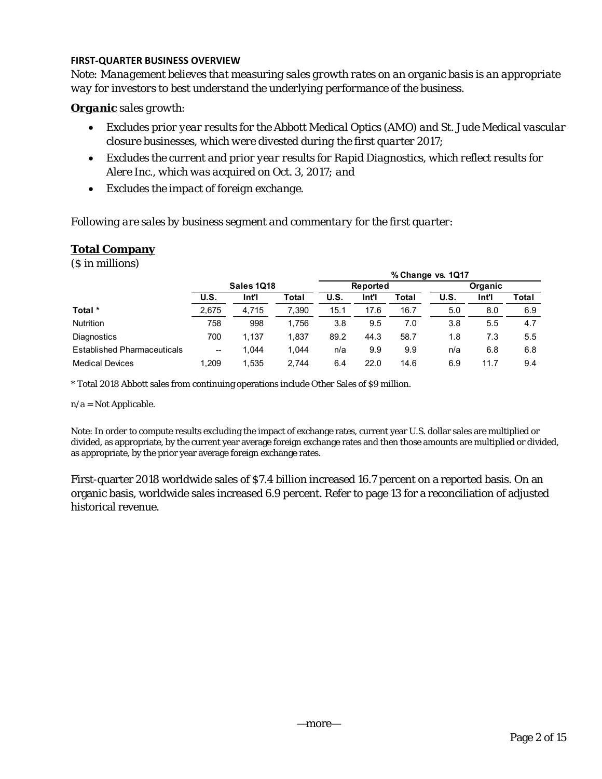## **FIRST‐QUARTER BUSINESS OVERVIEW**

*Note: Management believes that measuring sales growth rates on an organic basis is an appropriate way for investors to best understand the underlying performance of the business.* 

## *Organic sales growth:*

- *Excludes prior year results for the Abbott Medical Optics (AMO) and St. Jude Medical vascular closure businesses, which were divested during the first quarter 2017;*
- *Excludes the current and prior year results for Rapid Diagnostics, which reflect results for Alere Inc., which was acquired on Oct. 3, 2017; and*
- *Excludes the impact of foreign exchange.*

*Following are sales by business segment and commentary for the first quarter:* 

# **Total Company**

(\$ in millions)

|                                    |                          |       |       | % Change vs. 1Q17 |                 |       |                |       |               |  |  |
|------------------------------------|--------------------------|-------|-------|-------------------|-----------------|-------|----------------|-------|---------------|--|--|
|                                    | Sales 1Q18               |       |       |                   | <b>Reported</b> |       | <b>Organic</b> |       |               |  |  |
|                                    | U.S.                     | Int'l | Total | <b>U.S.</b>       | Int'l           | Total | U.S.           | Int'l | Total         |  |  |
| Total *                            | 2,675                    | 4,715 | 7.390 | 15.1              | 17.6            | 16.7  | 5.0            | 8.0   | 6.9           |  |  |
| <b>Nutrition</b>                   | 758                      | 998   | 1.756 | 3.8               | 9.5             | 7.0   | 3.8            | 5.5   | 4.7           |  |  |
| Diagnostics                        | 700                      | 1,137 | 1.837 | 89.2              | 44.3            | 58.7  | 1.8            | 7.3   | $5.5^{\circ}$ |  |  |
| <b>Established Pharmaceuticals</b> | $\overline{\phantom{a}}$ | 1.044 | 1.044 | n/a               | 9.9             | 9.9   | n/a            | 6.8   | 6.8           |  |  |
| <b>Medical Devices</b>             | 1.209                    | 1.535 | 2.744 | 6.4               | 22.0            | 14.6  | 6.9            | 11.7  | 9.4           |  |  |

\* Total 2018 Abbott sales from continuing operations include Other Sales of \$9 million.

### n/a = Not Applicable.

Note: In order to compute results excluding the impact of exchange rates, current year U.S. dollar sales are multiplied or divided, as appropriate, by the current year average foreign exchange rates and then those amounts are multiplied or divided, as appropriate, by the prior year average foreign exchange rates.

First-quarter 2018 worldwide sales of \$7.4 billion increased 16.7 percent on a reported basis. On an organic basis, worldwide sales increased 6.9 percent. Refer to page 13 for a reconciliation of adjusted historical revenue.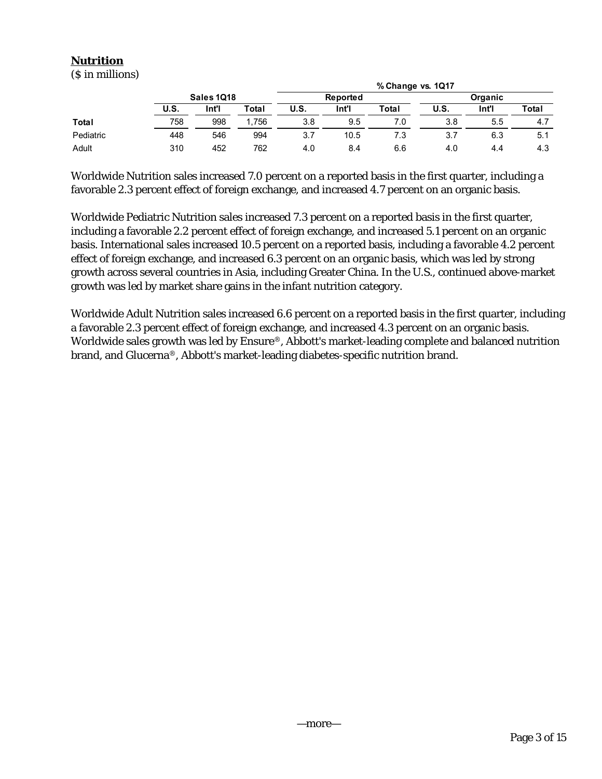# **Nutrition**

(\$ in millions)

|              |      | % Change vs. 1Q17 |       |      |          |       |         |       |       |  |
|--------------|------|-------------------|-------|------|----------|-------|---------|-------|-------|--|
|              |      | <b>Sales 1018</b> |       |      | Reported |       | Organic |       |       |  |
|              | U.S. | Int'l             | Total | U.S. | Int'l    | Total | U.S.    | Int'l | Total |  |
| <b>Total</b> | 758  | 998               | 1.756 | 3.8  | 9.5      | 7.0   | 3.8     | 5.5   | 4.7   |  |
| Pediatric    | 448  | 546               | 994   | 3.7  | 10.5     | 7.3   | 3.7     | 6.3   | 5.1   |  |
| Adult        | 310  | 452               | 762   | 4.0  | 8.4      | 6.6   | 4.0     | 4.4   | 4.3   |  |

Worldwide Nutrition sales increased 7.0 percent on a reported basis in the first quarter, including a favorable 2.3 percent effect of foreign exchange, and increased 4.7 percent on an organic basis.

Worldwide Pediatric Nutrition sales increased 7.3 percent on a reported basis in the first quarter, including a favorable 2.2 percent effect of foreign exchange, and increased 5.1 percent on an organic basis. International sales increased 10.5 percent on a reported basis, including a favorable 4.2 percent effect of foreign exchange, and increased 6.3 percent on an organic basis, which was led by strong growth across several countries in Asia, including Greater China. In the U.S., continued above-market growth was led by market share gains in the infant nutrition category.

Worldwide Adult Nutrition sales increased 6.6 percent on a reported basis in the first quarter, including a favorable 2.3 percent effect of foreign exchange, and increased 4.3 percent on an organic basis. Worldwide sales growth was led by Ensure®, Abbott's market-leading complete and balanced nutrition brand, and Glucerna®, Abbott's market-leading diabetes-specific nutrition brand.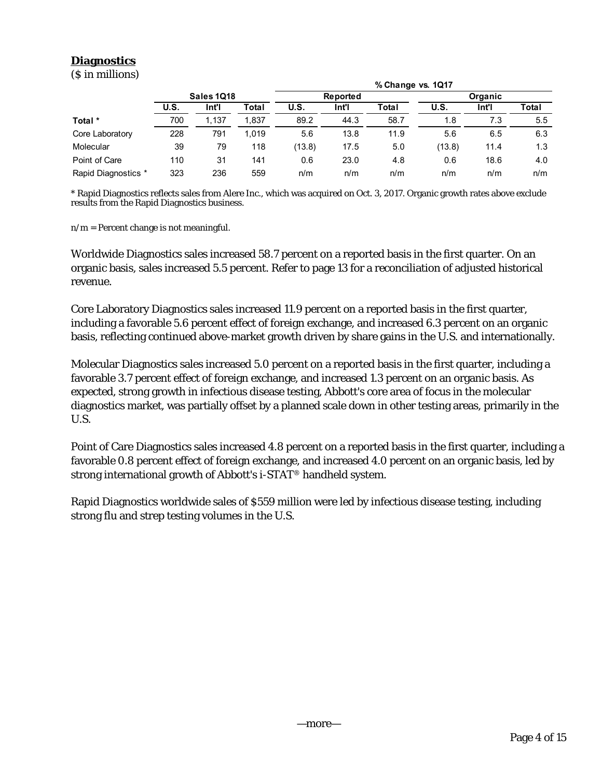# **Diagnostics**

(\$ in millions)

|                     |                   |       | % Change vs. 1Q17 |        |          |       |                |       |       |  |  |  |
|---------------------|-------------------|-------|-------------------|--------|----------|-------|----------------|-------|-------|--|--|--|
|                     | <b>Sales 1018</b> |       |                   |        | Reported |       | <b>Organic</b> |       |       |  |  |  |
|                     | U.S.              | Int'l | Total             | U.S.   | Int'l    | Total | U.S.           | Int'l | Total |  |  |  |
| Total *             | 700               | 1.137 | 1.837             | 89.2   | 44.3     | 58.7  | 1.8            | 7.3   | 5.5   |  |  |  |
| Core Laboratory     | 228               | 791   | 1.019             | 5.6    | 13.8     | 11.9  | 5.6            | 6.5   | 6.3   |  |  |  |
| Molecular           | 39                | 79    | 118               | (13.8) | 17.5     | 5.0   | (13.8)         | 11.4  | 1.3   |  |  |  |
| Point of Care       | 110               | 31    | 141               | 0.6    | 23.0     | 4.8   | 0.6            | 18.6  | 4.0   |  |  |  |
| Rapid Diagnostics * | 323               | 236   | 559               | n/m    | n/m      | n/m   | n/m            | n/m   | n/m   |  |  |  |

\* Rapid Diagnostics reflects sales from Alere Inc., which was acquired on Oct. 3, 2017. Organic growth rates above exclude results from the Rapid Diagnostics business.

 $n/m =$  Percent change is not meaningful.

Worldwide Diagnostics sales increased 58.7 percent on a reported basis in the first quarter. On an organic basis, sales increased 5.5 percent. Refer to page 13 for a reconciliation of adjusted historical revenue.

Core Laboratory Diagnostics sales increased 11.9 percent on a reported basis in the first quarter, including a favorable 5.6 percent effect of foreign exchange, and increased 6.3 percent on an organic basis, reflecting continued above-market growth driven by share gains in the U.S. and internationally.

Molecular Diagnostics sales increased 5.0 percent on a reported basis in the first quarter, including a favorable 3.7 percent effect of foreign exchange, and increased 1.3 percent on an organic basis. As expected, strong growth in infectious disease testing, Abbott's core area of focus in the molecular diagnostics market, was partially offset by a planned scale down in other testing areas, primarily in the U.S.

Point of Care Diagnostics sales increased 4.8 percent on a reported basis in the first quarter, including a favorable 0.8 percent effect of foreign exchange, and increased 4.0 percent on an organic basis, led by strong international growth of Abbott's i-STAT® handheld system.

Rapid Diagnostics worldwide sales of \$559 million were led by infectious disease testing, including strong flu and strep testing volumes in the U.S.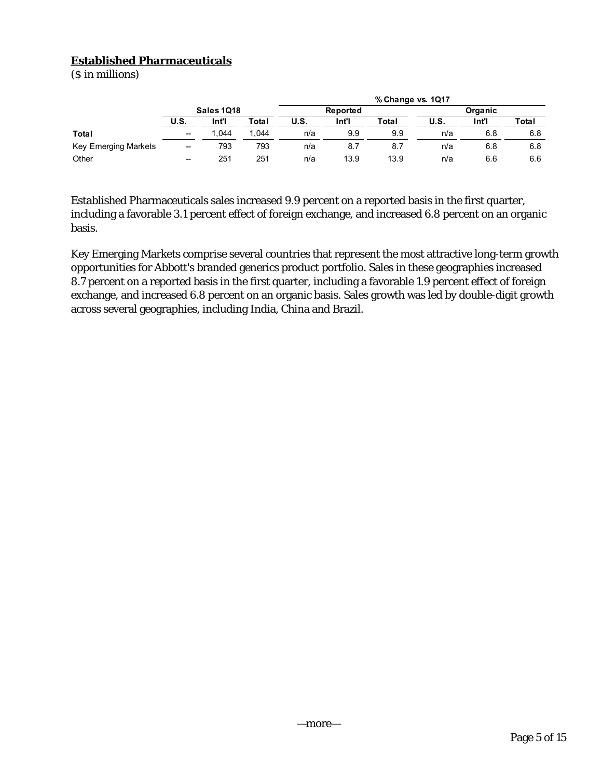# **Established Pharmaceuticals**

(\$ in millions)

|                      |                          | % Change vs. 1Q17 |       |      |                 |       |         |       |       |  |  |
|----------------------|--------------------------|-------------------|-------|------|-----------------|-------|---------|-------|-------|--|--|
|                      | Sales 1Q18               |                   |       |      | <b>Reported</b> |       | Organic |       |       |  |  |
|                      | <b>U.S.</b>              | Int'i             | Total | U.S. | Int'l           | Total | U.S.    | Int'l | Total |  |  |
| <b>Total</b>         | $\overline{\phantom{a}}$ | .044              | .044  | n/a  | 9.9             | 9.9   | n/a     | 6.8   | 6.8   |  |  |
| Key Emerging Markets | $\overline{\phantom{a}}$ | 793               | 793   | n/a  | 8.7             | 8.7   | n/a     | 6.8   | 6.8   |  |  |
| Other                | $\overline{\phantom{a}}$ | 251               | 251   | n/a  | 13.9            | 13.9  | n/a     | 6.6   | 6.6   |  |  |

Established Pharmaceuticals sales increased 9.9 percent on a reported basis in the first quarter, including a favorable 3.1 percent effect of foreign exchange, and increased 6.8 percent on an organic basis.

Key Emerging Markets comprise several countries that represent the most attractive long-term growth opportunities for Abbott's branded generics product portfolio. Sales in these geographies increased 8.7 percent on a reported basis in the first quarter, including a favorable 1.9 percent effect of foreign exchange, and increased 6.8 percent on an organic basis. Sales growth was led by double-digit growth across several geographies, including India, China and Brazil.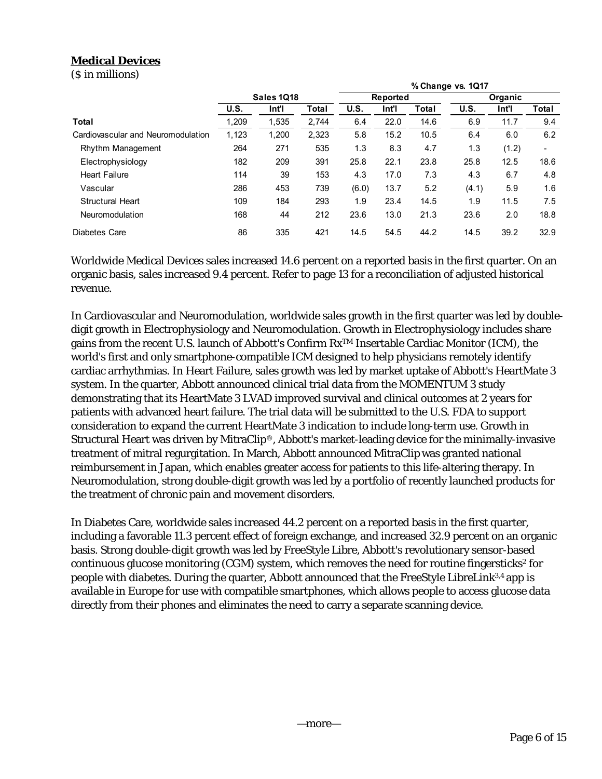# **Medical Devices**

(\$ in millions)

|                                    |                   |       |       |       |                 |       | % Change vs. 1Q17 |       |       |  |
|------------------------------------|-------------------|-------|-------|-------|-----------------|-------|-------------------|-------|-------|--|
|                                    | <b>Sales 1018</b> |       |       |       | <b>Reported</b> |       | Organic           |       |       |  |
|                                    | U.S.              | Int'l | Total | U.S.  | Int'l           | Total | U.S.              | Int'l | Total |  |
| Total                              | 1,209             | 1,535 | 2,744 | 6.4   | 22.0            | 14.6  | 6.9               | 11.7  | 9.4   |  |
| Cardiovascular and Neuromodulation | 1,123             | 1,200 | 2,323 | 5.8   | 15.2            | 10.5  | 6.4               | 6.0   | 6.2   |  |
| Rhythm Management                  | 264               | 271   | 535   | 1.3   | 8.3             | 4.7   | 1.3               | (1.2) | ٠     |  |
| Electrophysiology                  | 182               | 209   | 391   | 25.8  | 22.1            | 23.8  | 25.8              | 12.5  | 18.6  |  |
| <b>Heart Failure</b>               | 114               | 39    | 153   | 4.3   | 17.0            | 7.3   | 4.3               | 6.7   | 4.8   |  |
| Vascular                           | 286               | 453   | 739   | (6.0) | 13.7            | 5.2   | (4.1)             | 5.9   | 1.6   |  |
| <b>Structural Heart</b>            | 109               | 184   | 293   | 1.9   | 23.4            | 14.5  | 1.9               | 11.5  | 7.5   |  |
| Neuromodulation                    | 168               | 44    | 212   | 23.6  | 13.0            | 21.3  | 23.6              | 2.0   | 18.8  |  |
| Diabetes Care                      | 86                | 335   | 421   | 14.5  | 54.5            | 44.2  | 14.5              | 39.2  | 32.9  |  |

Worldwide Medical Devices sales increased 14.6 percent on a reported basis in the first quarter. On an organic basis, sales increased 9.4 percent. Refer to page 13 for a reconciliation of adjusted historical revenue.

In Cardiovascular and Neuromodulation, worldwide sales growth in the first quarter was led by doubledigit growth in Electrophysiology and Neuromodulation. Growth in Electrophysiology includes share gains from the recent U.S. launch of Abbott's Confirm RxTM Insertable Cardiac Monitor (ICM), the world's first and only smartphone-compatible ICM designed to help physicians remotely identify cardiac arrhythmias. In Heart Failure, sales growth was led by market uptake of Abbott's HeartMate 3 system. In the quarter, Abbott announced clinical trial data from the MOMENTUM 3 study demonstrating that its HeartMate 3 LVAD improved survival and clinical outcomes at 2 years for patients with advanced heart failure. The trial data will be submitted to the U.S. FDA to support consideration to expand the current HeartMate 3 indication to include long-term use. Growth in Structural Heart was driven by MitraClip®, Abbott's market-leading device for the minimally-invasive treatment of mitral regurgitation. In March, Abbott announced MitraClip was granted national reimbursement in Japan, which enables greater access for patients to this life-altering therapy. In Neuromodulation, strong double-digit growth was led by a portfolio of recently launched products for the treatment of chronic pain and movement disorders.

In Diabetes Care, worldwide sales increased 44.2 percent on a reported basis in the first quarter, including a favorable 11.3 percent effect of foreign exchange, and increased 32.9 percent on an organic basis. Strong double-digit growth was led by FreeStyle Libre, Abbott's revolutionary sensor-based continuous glucose monitoring (CGM) system, which removes the need for routine fingersticks<sup>2</sup> for people with diabetes. During the quarter, Abbott announced that the FreeStyle LibreLink3,4 app is available in Europe for use with compatible smartphones, which allows people to access glucose data directly from their phones and eliminates the need to carry a separate scanning device.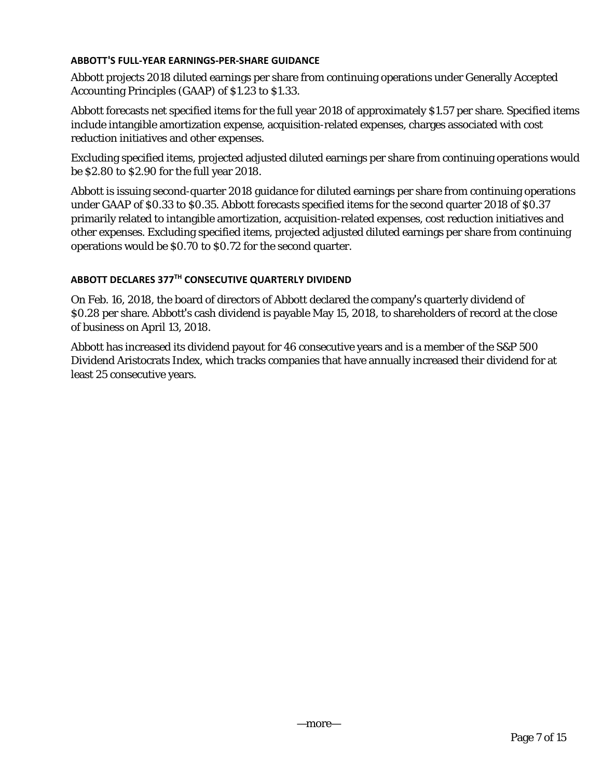## **ABBOTT'S FULL‐YEAR EARNINGS‐PER‐SHARE GUIDANCE**

Abbott projects 2018 diluted earnings per share from continuing operations under Generally Accepted Accounting Principles (GAAP) of \$1.23 to \$1.33.

Abbott forecasts net specified items for the full year 2018 of approximately \$1.57 per share. Specified items include intangible amortization expense, acquisition-related expenses, charges associated with cost reduction initiatives and other expenses.

Excluding specified items, projected adjusted diluted earnings per share from continuing operations would be \$2.80 to \$2.90 for the full year 2018.

Abbott is issuing second-quarter 2018 guidance for diluted earnings per share from continuing operations under GAAP of \$0.33 to \$0.35. Abbott forecasts specified items for the second quarter 2018 of \$0.37 primarily related to intangible amortization, acquisition-related expenses, cost reduction initiatives and other expenses. Excluding specified items, projected adjusted diluted earnings per share from continuing operations would be \$0.70 to \$0.72 for the second quarter.

## **ABBOTT DECLARES 377TH CONSECUTIVE QUARTERLY DIVIDEND**

On Feb. 16, 2018, the board of directors of Abbott declared the company's quarterly dividend of \$0.28 per share. Abbott's cash dividend is payable May 15, 2018, to shareholders of record at the close of business on April 13, 2018.

Abbott has increased its dividend payout for 46 consecutive years and is a member of the S&P 500 Dividend Aristocrats Index, which tracks companies that have annually increased their dividend for at least 25 consecutive years.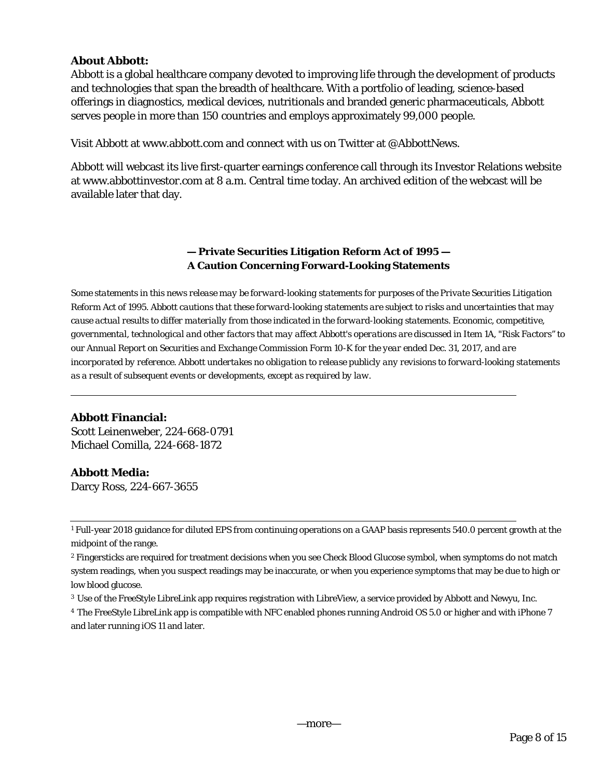# **About Abbott:**

Abbott is a global healthcare company devoted to improving life through the development of products and technologies that span the breadth of healthcare. With a portfolio of leading, science-based offerings in diagnostics, medical devices, nutritionals and branded generic pharmaceuticals, Abbott serves people in more than 150 countries and employs approximately 99,000 people.

Visit Abbott at www.abbott.com and connect with us on Twitter at @AbbottNews.

Abbott will webcast its live first-quarter earnings conference call through its Investor Relations website at www.abbottinvestor.com at 8 a.m. Central time today. An archived edition of the webcast will be available later that day.

# **— Private Securities Litigation Reform Act of 1995 — A Caution Concerning Forward-Looking Statements**

*Some statements in this news release may be forward-looking statements for purposes of the Private Securities Litigation Reform Act of 1995. Abbott cautions that these forward-looking statements are subject to risks and uncertainties that may cause actual results to differ materially from those indicated in the forward-looking statements. Economic, competitive, governmental, technological and other factors that may affect Abbott's operations are discussed in Item 1A, "Risk Factors'' to our Annual Report on Securities and Exchange Commission Form 10-K for the year ended Dec. 31, 2017, and are incorporated by reference. Abbott undertakes no obligation to release publicly any revisions to forward-looking statements as a result of subsequent events or developments, except as required by law.* 

# **Abbott Financial:**

Scott Leinenweber, 224-668-0791 Michael Comilla, 224-668-1872

## **Abbott Media:**

Darcy Ross, 224-667-3655

<sup>1</sup> Full-year 2018 guidance for diluted EPS from continuing operations on a GAAP basis represents 540.0 percent growth at the midpoint of the range.

<sup>2</sup> Fingersticks are required for treatment decisions when you see Check Blood Glucose symbol, when symptoms do not match system readings, when you suspect readings may be inaccurate, or when you experience symptoms that may be due to high or low blood glucose.

<sup>3</sup> Use of the FreeStyle LibreLink app requires registration with LibreView, a service provided by Abbott and Newyu, Inc.

<sup>4</sup> The FreeStyle LibreLink app is compatible with NFC enabled phones running Android OS 5.0 or higher and with iPhone 7 and later running iOS 11 and later.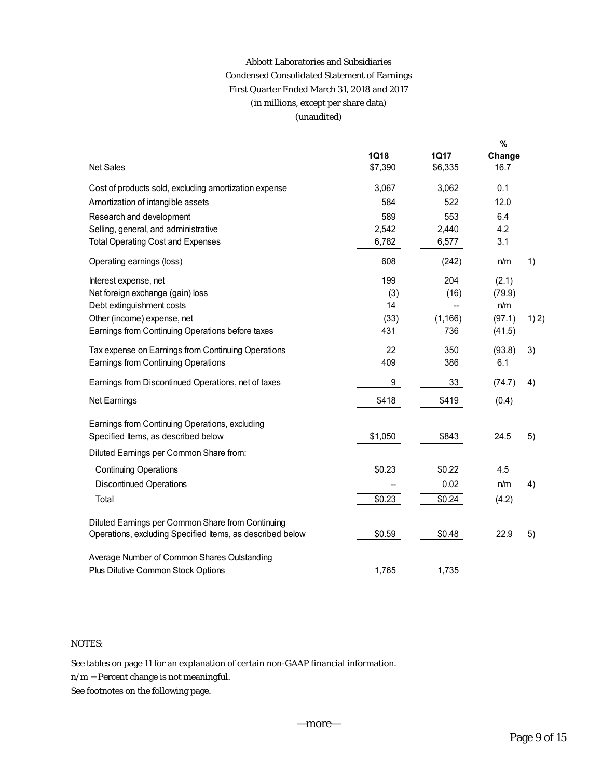# Abbott Laboratories and Subsidiaries Condensed Consolidated Statement of Earnings First Quarter Ended March 31, 2018 and 2017 (in millions, except per share data) (unaudited)

|                                                           |         |             | %      |       |
|-----------------------------------------------------------|---------|-------------|--------|-------|
|                                                           | 1Q18    | <b>1Q17</b> | Change |       |
| <b>Net Sales</b>                                          | \$7,390 | \$6,335     | 16.7   |       |
| Cost of products sold, excluding amortization expense     | 3,067   | 3,062       | 0.1    |       |
| Amortization of intangible assets                         | 584     | 522         | 12.0   |       |
| Research and development                                  | 589     | 553         | 6.4    |       |
| Selling, general, and administrative                      | 2,542   | 2,440       | 4.2    |       |
| <b>Total Operating Cost and Expenses</b>                  | 6,782   | 6,577       | 3.1    |       |
| Operating earnings (loss)                                 | 608     | (242)       | n/m    | 1)    |
| Interest expense, net                                     | 199     | 204         | (2.1)  |       |
| Net foreign exchange (gain) loss                          | (3)     | (16)        | (79.9) |       |
| Debt extinguishment costs                                 | 14      |             | n/m    |       |
| Other (income) expense, net                               | (33)    | (1, 166)    | (97.1) | 1) 2) |
| Earnings from Continuing Operations before taxes          | 431     | 736         | (41.5) |       |
| Tax expense on Earnings from Continuing Operations        | 22      | 350         | (93.8) | 3)    |
| Earnings from Continuing Operations                       | 409     | 386         | 6.1    |       |
| Earnings from Discontinued Operations, net of taxes       | 9       | 33          | (74.7) | 4)    |
| Net Earnings                                              | \$418   | \$419       | (0.4)  |       |
| Earnings from Continuing Operations, excluding            |         |             |        |       |
| Specified Items, as described below                       | \$1,050 | \$843       | 24.5   | 5)    |
| Diluted Earnings per Common Share from:                   |         |             |        |       |
| <b>Continuing Operations</b>                              | \$0.23  | \$0.22      | 4.5    |       |
| <b>Discontinued Operations</b>                            |         | 0.02        | n/m    | 4)    |
| Total                                                     | \$0.23  | \$0.24      | (4.2)  |       |
| Diluted Earnings per Common Share from Continuing         |         |             |        |       |
| Operations, excluding Specified Items, as described below | \$0.59  | \$0.48      | 22.9   | 5)    |
| Average Number of Common Shares Outstanding               |         |             |        |       |
| Plus Dilutive Common Stock Options                        | 1,765   | 1,735       |        |       |

## NOTES:

See tables on page 11 for an explanation of certain non-GAAP financial information.

n/m = Percent change is not meaningful.

See footnotes on the following page.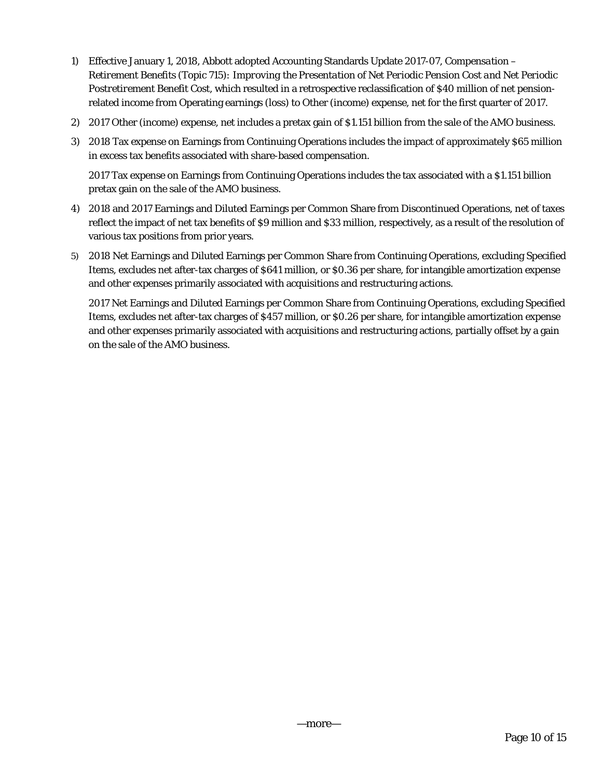- 1) Effective January 1, 2018, Abbott adopted Accounting Standards Update 2017-07, *Compensation Retirement Benefits (Topic 715): Improving the Presentation of Net Periodic Pension Cost and Net Periodic Postretirement Benefit Cost*, which resulted in a retrospective reclassification of \$40 million of net pensionrelated income from Operating earnings (loss) to Other (income) expense, net for the first quarter of 2017.
- 2) 2017 Other (income) expense, net includes a pretax gain of \$1.151 billion from the sale of the AMO business.
- 3) 2018 Tax expense on Earnings from Continuing Operations includes the impact of approximately \$65 million in excess tax benefits associated with share-based compensation.

2017 Tax expense on Earnings from Continuing Operations includes the tax associated with a \$1.151 billion pretax gain on the sale of the AMO business.

- 4) 2018 and 2017 Earnings and Diluted Earnings per Common Share from Discontinued Operations, net of taxes reflect the impact of net tax benefits of \$9 million and \$33 million, respectively, as a result of the resolution of various tax positions from prior years.
- 5) 2018 Net Earnings and Diluted Earnings per Common Share from Continuing Operations, excluding Specified Items, excludes net after-tax charges of \$641 million, or \$0.36 per share, for intangible amortization expense and other expenses primarily associated with acquisitions and restructuring actions.

2017 Net Earnings and Diluted Earnings per Common Share from Continuing Operations, excluding Specified Items, excludes net after-tax charges of \$457 million, or \$0.26 per share, for intangible amortization expense and other expenses primarily associated with acquisitions and restructuring actions, partially offset by a gain on the sale of the AMO business.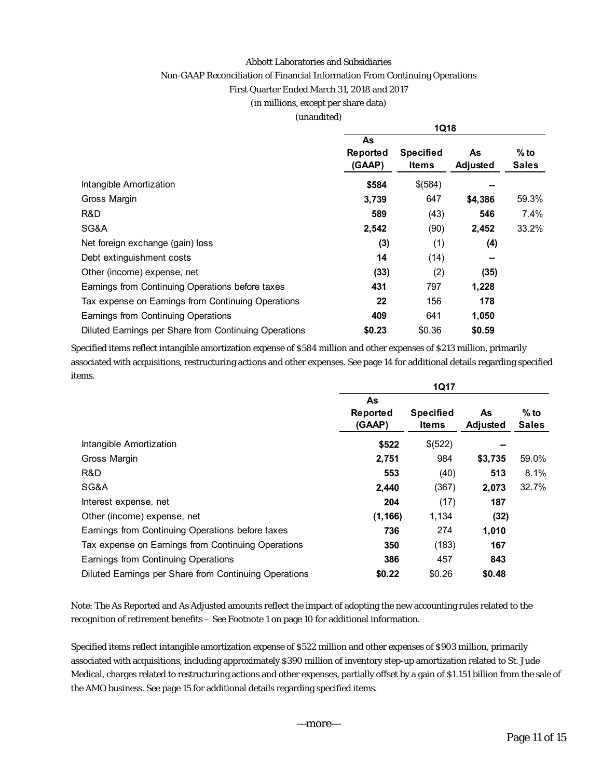#### Abbott Laboratories and Subsidiaries

### Non-GAAP Reconciliation of Financial Information From Continuing Operations

#### First Quarter Ended March 31, 2018 and 2017

#### (in millions, except per share data)

#### (unaudited)

|                                                       | <b>1Q18</b> |                  |          |              |  |  |  |  |
|-------------------------------------------------------|-------------|------------------|----------|--------------|--|--|--|--|
|                                                       | As          |                  |          |              |  |  |  |  |
|                                                       | Reported    | <b>Specified</b> | As       | $%$ to       |  |  |  |  |
|                                                       | (GAAP)      | <b>Items</b>     | Adjusted | <b>Sales</b> |  |  |  |  |
| Intangible Amortization                               | \$584       | \$(584)          |          |              |  |  |  |  |
| Gross Margin                                          | 3,739       | 647              | \$4,386  | 59.3%        |  |  |  |  |
| R&D                                                   | 589         | (43)             | 546      | 7.4%         |  |  |  |  |
| SG&A                                                  | 2,542       | (90)             | 2,452    | 33.2%        |  |  |  |  |
| Net foreign exchange (gain) loss                      | (3)         | (1)              | (4)      |              |  |  |  |  |
| Debt extinguishment costs                             | 14          | (14)             | --       |              |  |  |  |  |
| Other (income) expense, net                           | (33)        | (2)              | (35)     |              |  |  |  |  |
| Earnings from Continuing Operations before taxes      | 431         | 797              | 1,228    |              |  |  |  |  |
| Tax expense on Earnings from Continuing Operations    | 22          | 156              | 178      |              |  |  |  |  |
| Earnings from Continuing Operations                   | 409         | 641              | 1,050    |              |  |  |  |  |
| Diluted Earnings per Share from Continuing Operations | \$0.23      | \$0.36           | \$0.59   |              |  |  |  |  |

Specified items reflect intangible amortization expense of \$584 million and other expenses of \$213 million, primarily associated with acquisitions, restructuring actions and other expenses. See page 14 for additional details regarding specified items.

|                                                       | <b>1Q17</b> |                  |          |              |  |  |  |  |
|-------------------------------------------------------|-------------|------------------|----------|--------------|--|--|--|--|
|                                                       | As          |                  |          |              |  |  |  |  |
|                                                       | Reported    | <b>Specified</b> | As       | $%$ to       |  |  |  |  |
|                                                       | (GAAP)      | <b>Items</b>     | Adjusted | <b>Sales</b> |  |  |  |  |
| Intangible Amortization                               | \$522       | \$(522)          |          |              |  |  |  |  |
| Gross Margin                                          | 2,751       | 984              | \$3,735  | 59.0%        |  |  |  |  |
| R&D                                                   | 553         | (40)             | 513      | 8.1%         |  |  |  |  |
| SG&A                                                  | 2,440       | (367)            | 2,073    | 32.7%        |  |  |  |  |
| Interest expense, net                                 | 204         | (17)             | 187      |              |  |  |  |  |
| Other (income) expense, net                           | (1, 166)    | 1,134            | (32)     |              |  |  |  |  |
| Earnings from Continuing Operations before taxes      | 736         | 274              | 1,010    |              |  |  |  |  |
| Tax expense on Earnings from Continuing Operations    | 350         | (183)            | 167      |              |  |  |  |  |
| Earnings from Continuing Operations                   | 386         | 457              | 843      |              |  |  |  |  |
| Diluted Earnings per Share from Continuing Operations | \$0.22      | \$0.26           | \$0.48   |              |  |  |  |  |

Note: The As Reported and As Adjusted amounts reflect the impact of adopting the new accounting rules related to the recognition of retirement benefits – See Footnote 1 on page 10 for additional information.

Specified items reflect intangible amortization expense of \$522 million and other expenses of \$903 million, primarily associated with acquisitions, including approximately \$390 million of inventory step-up amortization related to St. Jude Medical, charges related to restructuring actions and other expenses, partially offset by a gain of \$1.151 billion from the sale of the AMO business. See page 15 for additional details regarding specified items.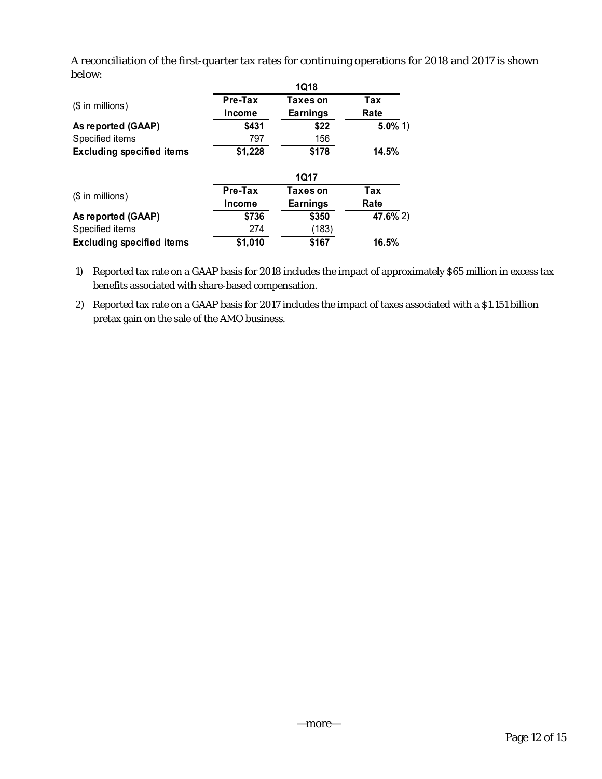A reconciliation of the first-quarter tax rates for continuing operations for 2018 and 2017 is shown below:

|                                  |                   | <b>1Q18</b>                 |             |
|----------------------------------|-------------------|-----------------------------|-------------|
| $($$ in millions)                | Pre-Tax<br>Income | Taxes on<br><b>Earnings</b> | Tax<br>Rate |
| As reported (GAAP)               | \$431             | \$22                        | $5.0\%$ 1)  |
| Specified items                  | 797               | 156                         |             |
| <b>Excluding specified items</b> | \$1,228           | \$178                       | 14.5%       |
|                                  |                   | 1017                        |             |
| $($$ in millions)                | Pre-Tax           | Taxes on                    | Tax         |
|                                  | Income            | <b>Earnings</b>             | Rate        |
| As reported (GAAP)               | \$736             | \$350                       | 47.6% 2)    |
| Specified items                  | 274               | (183)                       |             |
| <b>Excluding specified items</b> | \$1,010           | \$167                       | 16.5%       |

1) Reported tax rate on a GAAP basis for 2018 includes the impact of approximately \$65 million in excess tax benefits associated with share-based compensation.

2) Reported tax rate on a GAAP basis for 2017 includes the impact of taxes associated with a \$1.151 billion pretax gain on the sale of the AMO business.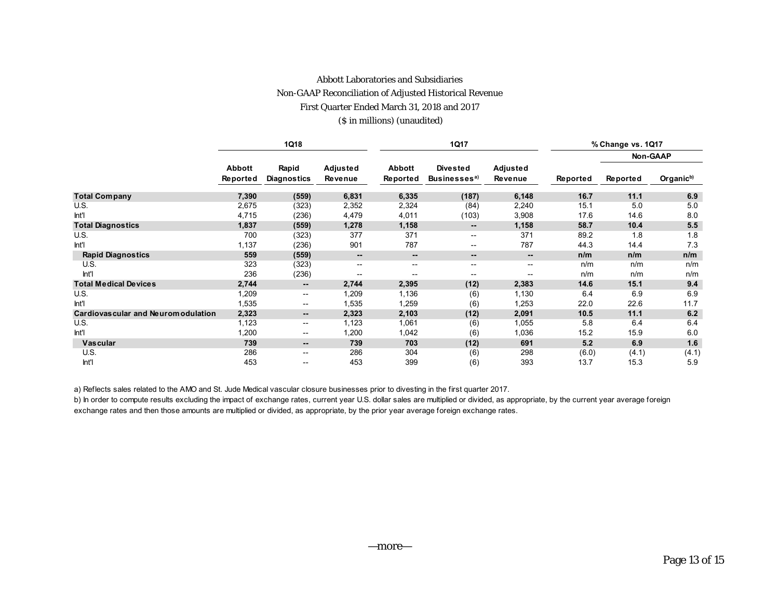#### Abbott Laboratories and Subsidiaries

#### Non-GAAP Reconciliation of Adjusted Historical Revenue

First Quarter Ended March 31, 2018 and 2017

#### (\$ in millions) (unaudited)

|                                      |                           | 1Q18                         |                          |                              | 1Q17                                        |                          | % Change vs. 1Q17 |          |                       |  |
|--------------------------------------|---------------------------|------------------------------|--------------------------|------------------------------|---------------------------------------------|--------------------------|-------------------|----------|-----------------------|--|
|                                      |                           |                              |                          |                              |                                             |                          |                   |          | Non-GAAP              |  |
|                                      | <b>Abbott</b><br>Reported | Rapid<br><b>Diagnostics</b>  | Adjusted<br>Revenue      | Abbott<br>Reported           | <b>Divested</b><br>Businesses <sup>a)</sup> | Adjusted<br>Revenue      | Reported          | Reported | Organic <sup>b)</sup> |  |
| <b>Total Company</b>                 | 7,390                     | (559)                        | 6,831                    | 6,335                        | (187)                                       | 6,148                    | 16.7              | 11.1     | 6.9                   |  |
| U.S.                                 | 2,675                     | (323)                        | 2,352                    | 2,324                        | (84)                                        | 2,240                    | 15.1              | 5.0      | 5.0                   |  |
| Int                                  | 4,715                     | (236)                        | 4,479                    | 4,011                        | (103)                                       | 3,908                    | 17.6              | 14.6     | 8.0                   |  |
| <b>Total Diagnostics</b>             | 1,837                     | (559)                        | 1,278                    | 1,158                        | $\overline{\phantom{a}}$                    | 1,158                    | 58.7              | 10.4     | 5.5                   |  |
| U.S.                                 | 700                       | (323)                        | 377                      | 371                          | $\overline{\phantom{a}}$                    | 371                      | 89.2              | 1.8      | 1.8                   |  |
| Int                                  | 1,137                     | (236)                        | 901                      | 787                          | $\overline{\phantom{a}}$                    | 787                      | 44.3              | 14.4     | 7.3                   |  |
| <b>Rapid Diagnostics</b>             | 559                       | (559)                        | $\overline{\phantom{a}}$ | $\qquad \qquad \blacksquare$ | $\overline{\phantom{a}}$                    | $\overline{\phantom{a}}$ | n/m               | n/m      | n/m                   |  |
| U.S.                                 | 323                       | (323)                        | $- -$                    | $\sim$                       | $\overline{\phantom{a}}$                    | $\sim$                   | n/m               | n/m      | n/m                   |  |
| Int'l                                | 236                       | (236)                        | $-$                      | $-$                          | $-$                                         | $- -$                    | n/m               | n/m      | n/m                   |  |
| <b>Total Medical Devices</b>         | 2,744                     | $\qquad \qquad \blacksquare$ | 2,744                    | 2,395                        | (12)                                        | 2,383                    | 14.6              | 15.1     | 9.4                   |  |
| U.S.                                 | 1,209                     | $\overline{\phantom{a}}$     | 1,209                    | 1,136                        | (6)                                         | 1,130                    | 6.4               | 6.9      | 6.9                   |  |
| Int'l                                | 1,535                     | $\mathbf{u}$                 | 1,535                    | 1,259                        | (6)                                         | 1,253                    | 22.0              | 22.6     | 11.7                  |  |
| Cardiovas cular and Neurom odulation | 2,323                     | --                           | 2,323                    | 2,103                        | (12)                                        | 2,091                    | 10.5              | 11.1     | 6.2                   |  |
| U.S.                                 | 1,123                     | $\overline{\phantom{a}}$     | 1,123                    | 1,061                        | (6)                                         | 1,055                    | 5.8               | 6.4      | 6.4                   |  |
| Int                                  | 1,200                     | $- -$                        | 1,200                    | 1,042                        | (6)                                         | 1,036                    | 15.2              | 15.9     | 6.0                   |  |
| <b>Vascular</b>                      | 739                       | $\qquad \qquad \blacksquare$ | 739                      | 703                          | (12)                                        | 691                      | 5.2               | 6.9      | 1.6                   |  |
| U.S.                                 | 286                       | $\mathbf{u}$                 | 286                      | 304                          | (6)                                         | 298                      | (6.0)             | (4.1)    | (4.1)                 |  |
| Int'l                                | 453                       | $- -$                        | 453                      | 399                          | (6)                                         | 393                      | 13.7              | 15.3     | 5.9                   |  |

a) Reflects sales related to the AMO and St. Jude Medical vascular closure businesses prior to divesting in the first quarter 2017.

b) In order to compute results excluding the impact of exchange rates, current year U.S. dollar sales are multiplied or divided, as appropriate, by the current year average foreign exchange rates and then those amounts are multiplied or divided, as appropriate, by the prior year average foreign exchange rates.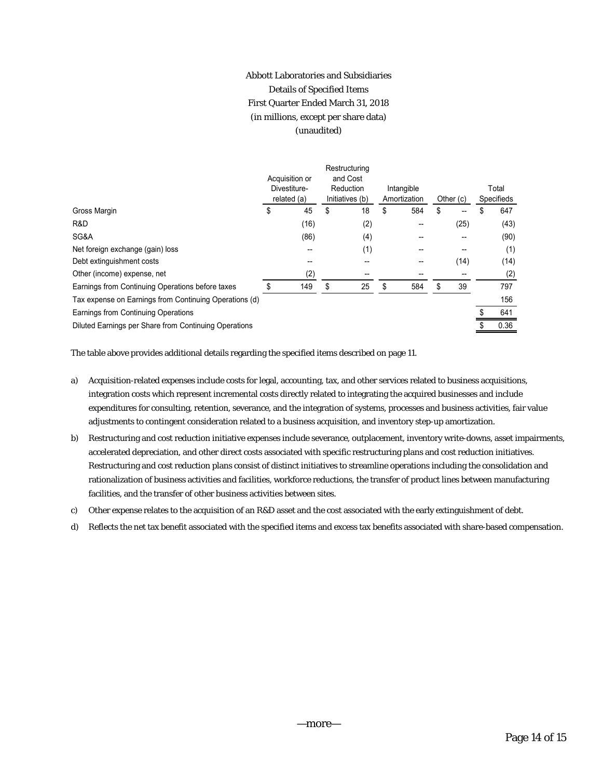# Abbott Laboratories and Subsidiaries Details of Specified Items First Quarter Ended March 31, 2018 (in millions, except per share data) (unaudited)

|                                                        |   | Acquisition or<br>Divestiture-<br>related (a) |    | Restructuring<br>and Cost<br>Reduction<br>Initiatives (b) |    | Intangible<br>Amortization |    | Other (c) |  | Total<br>Specifieds |  |
|--------------------------------------------------------|---|-----------------------------------------------|----|-----------------------------------------------------------|----|----------------------------|----|-----------|--|---------------------|--|
| Gross Margin                                           | S | 45                                            | \$ | 18                                                        | \$ | 584                        | \$ | --        |  | 647                 |  |
| R&D                                                    |   | (16)                                          |    | (2)                                                       |    |                            |    | (25)      |  | (43)                |  |
| SG&A                                                   |   | (86)                                          |    | (4)                                                       |    |                            |    |           |  | (90)                |  |
| Net foreign exchange (gain) loss                       |   | --                                            |    | (1)                                                       |    |                            |    | --        |  | (1)                 |  |
| Debt extinguishment costs                              |   | --                                            |    |                                                           |    |                            |    | (14)      |  | (14)                |  |
| Other (income) expense, net                            |   | (2)                                           |    | --                                                        |    |                            |    | --        |  | (2)                 |  |
| Earnings from Continuing Operations before taxes       |   | 149                                           | \$ | 25                                                        | \$ | 584                        | \$ | 39        |  | 797                 |  |
| Tax expense on Earnings from Continuing Operations (d) |   |                                               |    |                                                           |    |                            |    |           |  | 156                 |  |
| Earnings from Continuing Operations                    |   |                                               |    |                                                           |    |                            |    |           |  | 641                 |  |
| Diluted Earnings per Share from Continuing Operations  |   |                                               |    |                                                           |    |                            |    |           |  | 0.36                |  |
|                                                        |   |                                               |    |                                                           |    |                            |    |           |  |                     |  |

The table above provides additional details regarding the specified items described on page 11.

- a) Acquisition-related expenses include costs for legal, accounting, tax, and other services related to business acquisitions, integration costs which represent incremental costs directly related to integrating the acquired businesses and include expenditures for consulting, retention, severance, and the integration of systems, processes and business activities, fair value adjustments to contingent consideration related to a business acquisition, and inventory step-up amortization.
- b) Restructuring and cost reduction initiative expenses include severance, outplacement, inventory write-downs, asset impairments, accelerated depreciation, and other direct costs associated with specific restructuring plans and cost reduction initiatives. Restructuring and cost reduction plans consist of distinct initiatives to streamline operations including the consolidation and rationalization of business activities and facilities, workforce reductions, the transfer of product lines between manufacturing facilities, and the transfer of other business activities between sites.
- c) Other expense relates to the acquisition of an R&D asset and the cost associated with the early extinguishment of debt.
- d) Reflects the net tax benefit associated with the specified items and excess tax benefits associated with share-based compensation.